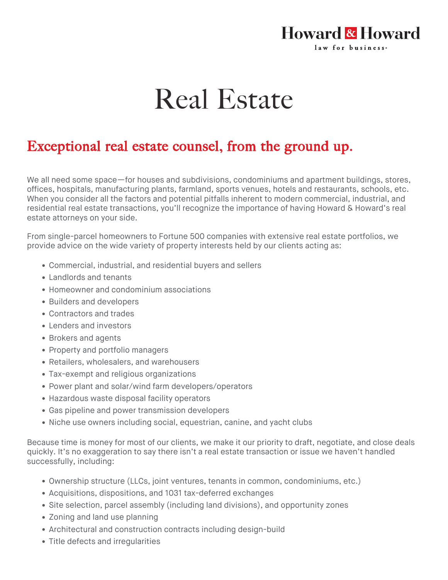## **Howard & Howard** law for business.

## Real Estate

## Exceptional real estate counsel, from the ground up.

We all need some space—for houses and subdivisions, condominiums and apartment buildings, stores, offices, hospitals, manufacturing plants, farmland, sports venues, hotels and restaurants, schools, etc. When you consider all the factors and potential pitfalls inherent to modern commercial, industrial, and residential real estate transactions, you'll recognize the importance of having Howard & Howard's real estate attorneys on your side.

From single-parcel homeowners to Fortune 500 companies with extensive real estate portfolios, we provide advice on the wide variety of property interests held by our clients acting as:

- Commercial, industrial, and residential buyers and sellers
- Landlords and tenants
- Homeowner and condominium associations
- Builders and developers
- Contractors and trades
- Lenders and investors
- Brokers and agents
- Property and portfolio managers
- Retailers, wholesalers, and warehousers
- Tax-exempt and religious organizations
- Power plant and solar/wind farm developers/operators
- Hazardous waste disposal facility operators
- Gas pipeline and power transmission developers
- Niche use owners including social, equestrian, canine, and yacht clubs

Because time is money for most of our clients, we make it our priority to draft, negotiate, and close deals quickly. It's no exaggeration to say there isn't a real estate transaction or issue we haven't handled successfully, including:

- Ownership structure (LLCs, joint ventures, tenants in common, condominiums, etc.)
- Acquisitions, dispositions, and 1031 tax-deferred exchanges
- Site selection, parcel assembly (including land divisions), and opportunity zones
- Zoning and land use planning
- Architectural and construction contracts including design-build
- Title defects and irregularities